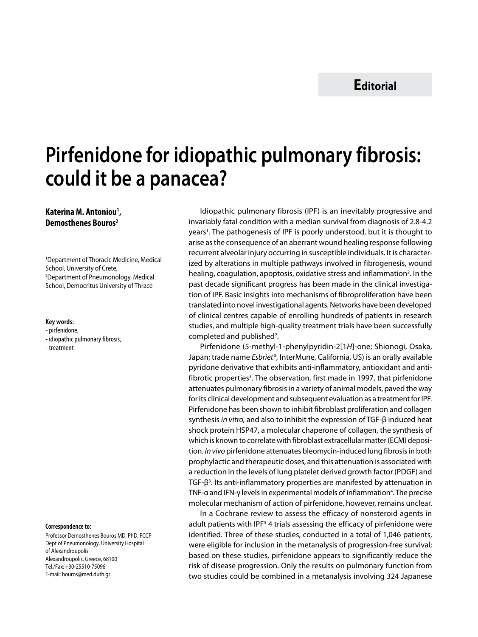# **Pirfenidone for idiopathic pulmonary fibrosis: could it be a panacea?**

## **Katerina M. Antoniou1 , Demosthenes Bouros2**

1 Department of Thoracic Medicine, Medical School, University of Crete, 2 Department of Pneumonology, Medical School, Democritus University of Thrace

#### **Key words:**

- pirfenidone,
- idiopathic pulmonary fibrosis,

- treatment

#### **Correspondence to:**

Professor Demosthenes Bouros MD, PhD, FCCP Dept of Pneumonology, University Hospital of Alexandroupolis Alexandroupolis, Greece, 68100 Tel./Fax: +30-25510-75096 E-mail: bouros@med.duth.gr

Idiopathic pulmonary fibrosis (IPF) is an inevitably progressive and invariably fatal condition with a median survival from diagnosis of 2.8-4.2 years<sup>1</sup>. The pathogenesis of IPF is poorly understood, but it is thought to arise as the consequence of an aberrant wound healing response following recurrent alveolar injury occurring in susceptible individuals. It is characterized by alterations in multiple pathways involved in fibrogenesis, wound healing, coagulation, apoptosis, oxidative stress and inflammation<sup>2</sup>. In the past decade significant progress has been made in the clinical investigation of IPF. Basic insights into mechanisms of fibroproliferation have been translated into novel investigational agents. Networks have been developed of clinical centres capable of enrolling hundreds of patients in research studies, and multiple high-quality treatment trials have been successfully completed and published<sup>2</sup>.

Pirfenidone (5-methyl-1-phenylpyridin-2[1*H*]-one; Shionogi, Osaka, Japan; trade name *Esbriet®*, InterMune, California, US) is an orally available pyridone derivative that exhibits anti-inflammatory, antioxidant and antifibrotic properties<sup>3</sup>. The observation, first made in 1997, that pirfenidone attenuates pulmonary fibrosis in a variety of animal models, paved the way for its clinical development and subsequent evaluation as a treatment for IPF. Pirfenidone has been shown to inhibit fibroblast proliferation and collagen synthesis *in vitro,* and also to inhibit the expression of TGF-β induced heat shock protein HSP47, a molecular chaperone of collagen, the synthesis of which is known to correlate with fibroblast extracellular matter (ECM) deposition. *In vivo* pirfenidone attenuates bleomycin-induced lung fibrosis in both prophylactic and therapeutic doses, and this attenuation is associated with a reduction in the levels of lung platelet derived growth factor (PDGF) and TGF- $β$ <sup>3</sup>. Its anti-inflammatory properties are manifested by attenuation in TNF-α and IFN-γ levels in experimental models of inflammation<sup>4</sup>. The precise molecular mechanism of action of pirfenidone, however, remains unclear.

In a Cochrane review to assess the efficacy of nonsteroid agents in adult patients with IPF<sup>5</sup> 4 trials assessing the efficacy of pirfenidone were identified. Three of these studies, conducted in a total of 1,046 patients, were eligible for inclusion in the metanalysis of progression-free survival; based on these studies, pirfenidone appears to significantly reduce the risk of disease progression. Only the results on pulmonary function from two studies could be combined in a metanalysis involving 324 Japanese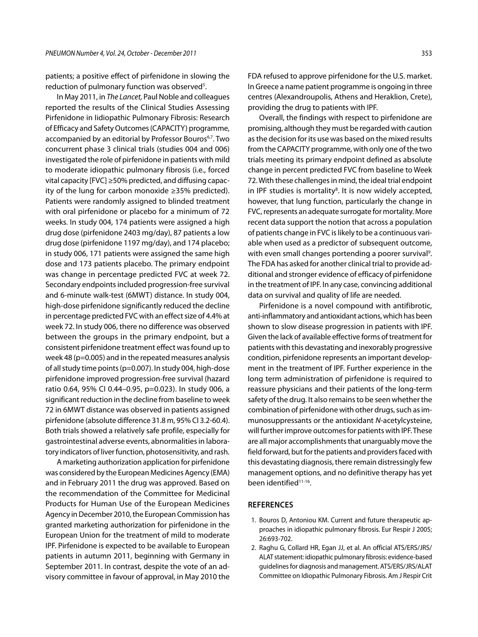patients; a positive effect of pirfenidone in slowing the reduction of pulmonary function was observed<sup>5</sup>.

In May 2011, in *The Lancet,* Paul Noble and colleagues reported the results of the Clinical Studies Assessing Pirfenidone in Iidiopathic Pulmonary Fibrosis: Research of Efficacy and Safety Outcomes (CAPACITY) programme, accompanied by an editorial by Professor Bouros<sup>6,7</sup>. Two concurrent phase 3 clinical trials (studies 004 and 006) investigated the role of pirfenidone in patients with mild to moderate idiopathic pulmonary fibrosis (i.e., forced vital capacity [FVC] ≥50% predicted, and diffusing capacity of the lung for carbon monoxide ≥35% predicted). Patients were randomly assigned to blinded treatment with oral pirfenidone or placebo for a minimum of 72 weeks. In study 004, 174 patients were assigned a high drug dose (pirfenidone 2403 mg/day), 87 patients a low drug dose (pirfenidone 1197 mg/day), and 174 placebo; in study 006, 171 patients were assigned the same high dose and 173 patients placebo. The primary endpoint was change in percentage predicted FVC at week 72. Secondary endpoints included progression-free survival and 6-minute walk-test (6MWT) distance. In study 004, high-dose pirfenidone significantly reduced the decline in percentage predicted FVC with an effect size of 4.4% at week 72. In study 006, there no difference was observed between the groups in the primary endpoint, but a consistent pirfenidone treatment effect was found up to week 48 (p=0.005) and in the repeated measures analysis of all study time points (p=0.007). In study 004, high-dose pirfenidone improved progression-free survival (hazard ratio 0.64, 95% CI 0.44–0.95, p=0.023). In study 006, a significant reduction in the decline from baseline to week 72 in 6MWT distance was observed in patients assigned pirfenidone (absolute difference 31.8 m, 95% CI 3.2-60.4). Both trials showed a relatively safe profile, especially for gastrointestinal adverse events, abnormalities in laboratory indicators of liver function, photosensitivity, and rash.

A marketing authorization application for pirfenidone was considered by the European Medicines Agency (EMA) and in February 2011 the drug was approved. Based on the recommendation of the Committee for Medicinal Products for Human Use of the European Medicines Agency in December 2010, the European Commission has granted marketing authorization for pirfenidone in the European Union for the treatment of mild to moderate IPF. Pirfenidone is expected to be available to European patients in autumn 2011, beginning with Germany in September 2011. In contrast, despite the vote of an advisory committee in favour of approval, in May 2010 the

FDA refused to approve pirfenidone for the U.S. market. In Greece a name patient programme is ongoing in three centres (Alexandroupolis, Athens and Heraklion, Crete), providing the drug to patients with IPF.

Overall, the findings with respect to pirfenidone are promising, although they must be regarded with caution as the decision for its use was based on the mixed results from the CAPACITY programme, with only one of the two trials meeting its primary endpoint defined as absolute change in percent predicted FVC from baseline to Week 72. With these challenges in mind, the ideal trial endpoint in IPF studies is mortality<sup>8</sup>. It is now widely accepted, however, that lung function, particularly the change in FVC, represents an adequate surrogate for mortality. More recent data support the notion that across a population of patients change in FVC is likely to be a continuous variable when used as a predictor of subsequent outcome, with even small changes portending a poorer survival<sup>9</sup>. The FDA has asked for another clinical trial to provide additional and stronger evidence of efficacy of pirfenidone in the treatment of IPF. In any case, convincing additional data on survival and quality of life are needed.

Pirfenidone is a novel compound with antifibrotic, anti-inflammatory and antioxidant actions, which has been shown to slow disease progression in patients with IPF. Given the lack of available effective forms of treatment for patients with this devastating and inexorably progressive condition, pirfenidone represents an important development in the treatment of IPF. Further experience in the long term administration of pirfenidone is required to reassure physicians and their patients of the long-term safety of the drug. It also remains to be seen whether the combination of pirfenidone with other drugs, such as immunosuppressants or the antioxidant *N*-acetylcysteine, will further improve outcomes for patients with IPF. These are all major accomplishments that unarguably move the field forward, but for the patients and providers faced with this devastating diagnosis, there remain distressingly few management options, and no definitive therapy has yet been identified<sup>11-16</sup>.

### **References**

- 1. Bouros D, Antoniou KM. Current and future therapeutic approaches in idiopathic pulmonary fibrosis. Eur Respir J 2005; 26:693-702.
- 2. Raghu G, Collard HR, Egan JJ, et al. An official ATS/ERS/JRS/ ALAT statement: idiopathic pulmonary fibrosis: evidence-based guidelines for diagnosis and management. ATS/ERS/JRS/ALAT Committee on Idiopathic Pulmonary Fibrosis. Am J Respir Crit